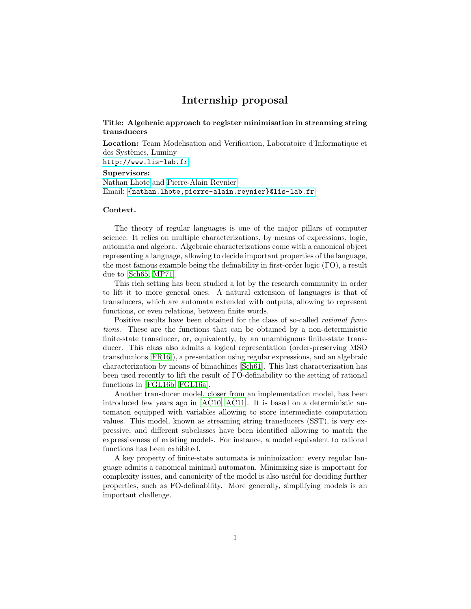# Internship proposal

## Title: Algebraic approach to register minimisation in streaming string transducers

Location: Team Modelisation and Verification, Laboratoire d'Informatique et des Systèmes, Luminy <http://www.lis-lab.fr>

### Supervisors:

[Nathan Lhote](https://pageperso.lis-lab.fr/~nathan.lhote/) and [Pierre-Alain Reynier](https://pageperso.lis-lab.fr/~pierre-alain.reynier/) Email: <{nathan.lhote,pierre-alain.reynier}@lis-lab.fr>

#### Context.

The theory of regular languages is one of the major pillars of computer science. It relies on multiple characterizations, by means of expressions, logic, automata and algebra. Algebraic characterizations come with a canonical object representing a language, allowing to decide important properties of the language, the most famous example being the definability in first-order logic (FO), a result due to [\[Sch65,](#page-2-0) [MP71\]](#page-2-1).

This rich setting has been studied a lot by the research community in order to lift it to more general ones. A natural extension of languages is that of transducers, which are automata extended with outputs, allowing to represent functions, or even relations, between finite words.

Positive results have been obtained for the class of so-called *rational func*tions. These are the functions that can be obtained by a non-deterministic finite-state transducer, or, equivalently, by an unambiguous finite-state transducer. This class also admits a logical representation (order-preserving MSO transductions [\[FR16\]](#page-2-2)), a presentation using regular expressions, and an algebraic characterization by means of bimachines [\[Sch61\]](#page-2-3). This last characterization has been used recently to lift the result of FO-definability to the setting of rational functions in [\[FGL16b,](#page-2-4) [FGL16a\]](#page-2-5).

Another transducer model, closer from an implementation model, has been introduced few years ago in  $[AC10, AC11]$  $[AC10, AC11]$  $[AC10, AC11]$ . It is based on a deterministic automaton equipped with variables allowing to store intermediate computation values. This model, known as streaming string transducers (SST), is very expressive, and different subclasses have been identified allowing to match the expressiveness of existing models. For instance, a model equivalent to rational functions has been exhibited.

A key property of finite-state automata is minimization: every regular language admits a canonical minimal automaton. Minimizing size is important for complexity issues, and canonicity of the model is also useful for deciding further properties, such as FO-definability. More generally, simplifying models is an important challenge.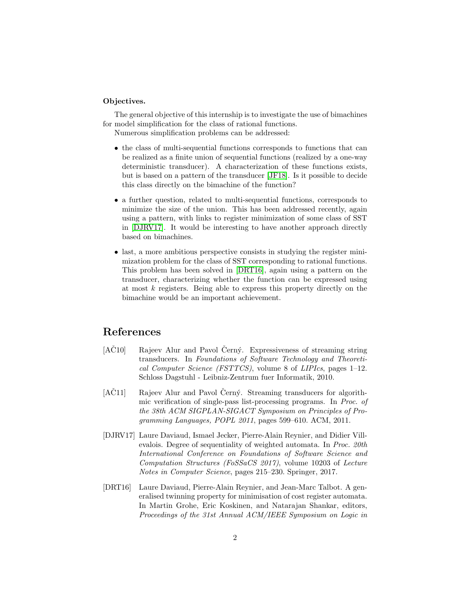### Objectives.

The general objective of this internship is to investigate the use of bimachines for model simplification for the class of rational functions.

Numerous simplification problems can be addressed:

- the class of multi-sequential functions corresponds to functions that can be realized as a finite union of sequential functions (realized by a one-way deterministic transducer). A characterization of these functions exists, but is based on a pattern of the transducer [\[JF18\]](#page-2-6). Is it possible to decide this class directly on the bimachine of the function?
- a further question, related to multi-sequential functions, corresponds to minimize the size of the union. This has been addressed recently, again using a pattern, with links to register minimization of some class of SST in [\[DJRV17\]](#page-1-2). It would be interesting to have another approach directly based on bimachines.
- last, a more ambitious perspective consists in studying the register minimization problem for the class of SST corresponding to rational functions. This problem has been solved in [\[DRT16\]](#page-1-3), again using a pattern on the transducer, characterizing whether the function can be expressed using at most k registers. Being able to express this property directly on the bimachine would be an important achievement.

# References

- <span id="page-1-0"></span>[AC10] Rajeev Alur and Pavol Cerný. Expressiveness of streaming string transducers. In Foundations of Software Technology and Theoretical Computer Science (FSTTCS), volume 8 of LIPIcs, pages 1–12. Schloss Dagstuhl - Leibniz-Zentrum fuer Informatik, 2010.
- <span id="page-1-1"></span>[AČ11] Rajeev Alur and Pavol Černý. Streaming transducers for algorithmic verification of single-pass list-processing programs. In Proc. of the 38th ACM SIGPLAN-SIGACT Symposium on Principles of Programming Languages, POPL 2011, pages 599–610. ACM, 2011.
- <span id="page-1-2"></span>[DJRV17] Laure Daviaud, Ismael Jecker, Pierre-Alain Reynier, and Didier Villevalois. Degree of sequentiality of weighted automata. In Proc. 20th International Conference on Foundations of Software Science and Computation Structures (FoSSaCS 2017), volume 10203 of Lecture Notes in Computer Science, pages 215–230. Springer, 2017.
- <span id="page-1-3"></span>[DRT16] Laure Daviaud, Pierre-Alain Reynier, and Jean-Marc Talbot. A generalised twinning property for minimisation of cost register automata. In Martin Grohe, Eric Koskinen, and Natarajan Shankar, editors, Proceedings of the 31st Annual ACM/IEEE Symposium on Logic in